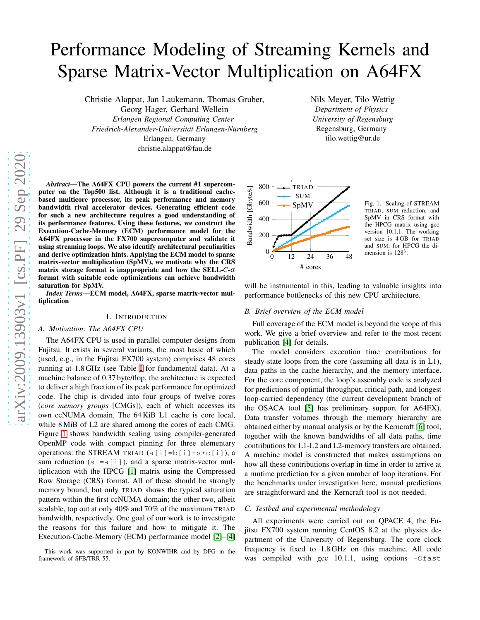# Performance Modeling of Streaming Kernels and Sparse Matrix-Vector Multiplication on A64FX

Christie Alappat, Jan Laukemann, Thomas Gruber,

Georg Hager, Gerhard Wellein *Erlangen Regional Computing Center Friedrich-Alexander-Universitat Erlangen-N ¨ urnberg ¨* Erlangen, Germany

christie.alappat@fau.de

Nils Meyer, Tilo Wettig *Department of Physics University of Regensburg* Regensburg, Germany tilo.wettig@ur.de

*Abstract*—The A64FX CPU powers the current #1 supercomputer on the Top500 list. Although it is a traditional cachebased multicore processor, its peak performance and memory bandwidth rival accelerator devices. Generating efficient code for such a new architecture requires a good understanding of its performance features. Using these features, we construct the Execution-Cache-Memory (ECM) performance model for the A64FX processor in the FX700 supercomputer and validate it using streaming loops. We also identify architectural peculiarities and derive optimization hints. Applying the ECM model to sparse matrix-vector multiplication (SpMV), we motivate why the CRS matrix storage format is inappropriate and how the SELL-*C*-<sup>σ</sup> format with suitable code optimizations can achieve bandwidth saturation for SpMV.

*Index Terms*—ECM model, A64FX, sparse matrix-vector multiplication

## I. INTRODUCTION

## *A. Motivation: The A64FX CPU*

The A64FX CPU is used in parallel computer designs from Fujitsu. It exists in several variants, the most basic of which (used, e.g., in the Fujitsu FX700 system) comprises 48 cores running at 1.8 GHz (see Table [I](#page-1-0) for fundamental data). At a machine balance of 0.37 byte/flop, the architecture is expected to deliver a high fraction of its peak performance for optimized code. The chip is divided into four groups of twelve cores (*core memory groups* [CMGs]), each of which accesses its own ccNUMA domain. The 64 KiB L1 cache is core local, while 8 MiB of L2 are shared among the cores of each CMG. Figure [1](#page-0-0) shows bandwidth scaling using compiler-generated OpenMP code with compact pinning for three elementary operations: the STREAM TRIAD  $(a[i] = b[i] + s * c[i])$ , a sum reduction  $(s+=a[i])$ , and a sparse matrix-vector multiplication with the HPCG [\[1\]](#page-5-0) matrix using the Compressed Row Storage (CRS) format. All of these should be strongly memory bound, but only TRIAD shows the typical saturation pattern within the first ccNUMA domain; the other two, albeit scalable, top out at only 40% and 70% of the maximum TRIAD bandwidth, respectively. One goal of our work is to investigate the reasons for this failure and how to mitigate it. The Execution-Cache-Memory (ECM) performance model [\[2\]](#page-5-1)–[\[4\]](#page-5-2)



<span id="page-0-0"></span> $SpMV$  Fig. 1. Scaling of STREAM TRIAD, SUM reduction, and SpMV in CRS format with the HPCG matrix using gcc version 10.1.1. The working set size is 4 GB for TRIAD and SUM; for HPCG the dimension is  $128<sup>3</sup>$ .

will be instrumental in this, leading to valuable insights into performance bottlenecks of this new CPU architecture.

#### *B. Brief overview of the ECM model*

Full coverage of the ECM model is beyond the scope of this work. We give a brief overview and refer to the most recent publication [\[4\]](#page-5-2) for details.

The model considers execution time contributions for steady-state loops from the core (assuming all data is in L1), data paths in the cache hierarchy, and the memory interface. For the core component, the loop's assembly code is analyzed for predictions of optimal throughput, critical path, and longest loop-carried dependency (the current development branch of the OSACA tool [\[5\]](#page-5-3) has preliminary support for A64FX). Data transfer volumes through the memory hierarchy are obtained either by manual analysis or by the Kerncraft [\[6\]](#page-5-4) tool; together with the known bandwidths of all data paths, time contributions for L1-L2 and L2-memory transfers are obtained. A machine model is constructed that makes assumptions on how all these contributions overlap in time in order to arrive at a runtime prediction for a given number of loop iterations. For the benchmarks under investigation here, manual predictions are straightforward and the Kerncraft tool is not needed.

## *C. Testbed and experimental methodology*

All experiments were carried out on QPACE 4, the Fujitsu FX700 system running CentOS 8.2 at the physics department of the University of Regensburg. The core clock frequency is fixed to 1.8 GHz on this machine. All code was compiled with gcc 10.1.1, using options -Ofast

This work was supported in part by KONWIHR and by DFG in the framework of SFB/TRR 55.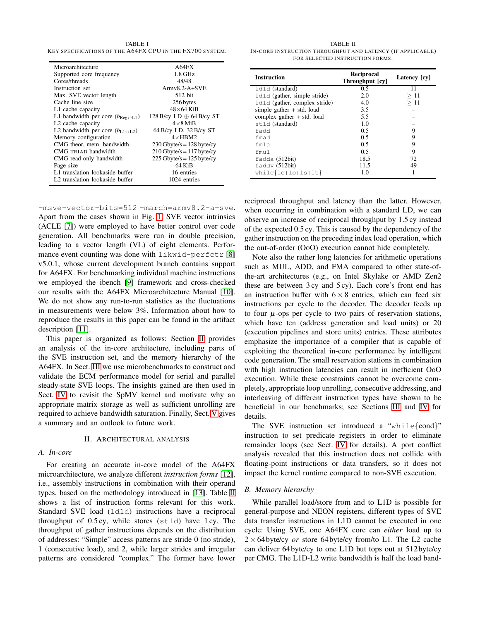<span id="page-1-0"></span>TABLE I KEY SPECIFICATIONS OF THE A64FX CPU IN THE FX700 SYSTEM.

| Microarchitecture                                                | A64FX                           |  |
|------------------------------------------------------------------|---------------------------------|--|
| Supported core frequency                                         | $1.8$ GHz                       |  |
| Cores/threads                                                    | 48/48                           |  |
| Instruction set                                                  | $Armv8.2-A+SVE$                 |  |
| Max. SVE vector length                                           | 512 bit                         |  |
| Cache line size                                                  | 256 bytes                       |  |
| L1 cache capacity                                                | $48\times 64$ KiB               |  |
| L1 bandwidth per core $(b_{\text{Reg}\leftrightarrow\text{L1}})$ | 128 B/cy LD $\oplus$ 64 B/cy ST |  |
| L <sub>2</sub> cache capacity                                    | $4 \times 8$ MiR                |  |
| L2 bandwidth per core $(b_{L1 \leftrightarrow L2})$              | 64 B/cy LD, 32 B/cy ST          |  |
| Memory configuration                                             | $4 \times$ HRM2                 |  |
| CMG theor, mem. bandwidth                                        | $230$ Gbyte/s = 128 byte/cy     |  |
| CMG TRIAD bandwidth                                              | $210$ Gbyte/s = 117 byte/cy     |  |
| CMG read-only bandwidth                                          | $225$ Gbyte/s = 125 byte/cy     |  |
| Page size                                                        | 64 KiB                          |  |
| L1 translation lookaside buffer                                  | 16 entries                      |  |
| L2 translation lookaside buffer                                  | 1024 entries                    |  |

-msve-vector-bits=512 -march=armv8.2-a+sve. Apart from the cases shown in Fig. [1,](#page-0-0) SVE vector intrinsics (ACLE [\[7\]](#page-5-5)) were employed to have better control over code generation. All benchmarks were run in double precision, leading to a vector length (VL) of eight elements. Performance event counting was done with  $linkwidth$ v5.0.1, whose current development branch contains support for A64FX. For benchmarking individual machine instructions we employed the ibench [\[9\]](#page-5-7) framework and cross-checked our results with the A64FX Microarchitecture Manual [\[10\]](#page-5-8). We do not show any run-to-run statistics as the fluctuations in measurements were below 3%. Information about how to reproduce the results in this paper can be found in the artifact description [\[11\]](#page-5-9).

This paper is organized as follows: Section [II](#page-1-1) provides an analysis of the in-core architecture, including parts of the SVE instruction set, and the memory hierarchy of the A64FX. In Sect. [III](#page-2-0) we use microbenchmarks to construct and validate the ECM performance model for serial and parallel steady-state SVE loops. The insights gained are then used in Sect. [IV](#page-3-0) to revisit the SpMV kernel and motivate why an appropriate matrix storage as well as sufficient unrolling are required to achieve bandwidth saturation. Finally, Sect. [V](#page-4-0) gives a summary and an outlook to future work.

#### II. ARCHITECTURAL ANALYSIS

# <span id="page-1-1"></span>*A. In-core*

For creating an accurate in-core model of the A64FX microarchitecture, we analyze different *instruction forms* [\[12\]](#page-5-10), i.e., assembly instructions in combination with their operand types, based on the methodology introduced in [\[13\]](#page-5-11). Table [II](#page-1-2) shows a list of instruction forms relevant for this work. Standard SVE load (ld1d) instructions have a reciprocal throughput of  $0.5cy$ , while stores (st1d) have 1 cy. The throughput of gather instructions depends on the distribution of addresses: "Simple" access patterns are stride 0 (no stride), 1 (consecutive load), and 2, while larger strides and irregular patterns are considered "complex." The former have lower

<span id="page-1-2"></span>TABLE II IN-CORE INSTRUCTION THROUGHPUT AND LATENCY (IF APPLICABLE) FOR SELECTED INSTRUCTION FORMS.

| <b>Instruction</b>            | Reciprocal<br>Throughput [cy] | Latency [cy] |
|-------------------------------|-------------------------------|--------------|
| 1d1d (standard)               | 0.5                           | 11           |
| 1d1d (gather, simple stride)  | 2.0                           | >11          |
| 1d1d (gather, complex stride) | 4.0                           | >11          |
| simple gather $+$ std. load   | 3.5                           |              |
| complex gather + std. load    | 5.5                           |              |
| st1d (standard)               | 1.0                           |              |
| fadd                          | 0.5                           | 9            |
| fmad                          | 0.5                           | 9            |
| fmla                          | 0.5                           | 9            |
| fmul                          | 0.5                           | 9            |
| fadda (512bit)                | 18.5                          | 72           |
| $f$ addy $(512bit)$           | 11.5                          | 49           |
| $while\{le lo ls lt\}$        | 1.0                           |              |

reciprocal throughput and latency than the latter. However, when occurring in combination with a standard LD, we can observe an increase of reciprocal throughput by 1.5 cy instead of the expected 0.5 cy. This is caused by the dependency of the gather instruction on the preceding index load operation, which the out-of-order (OoO) execution cannot hide completely.

Note also the rather long latencies for arithmetic operations such as MUL, ADD, and FMA compared to other state-ofthe-art architectures (e.g., on Intel Skylake or AMD Zen2 these are between 3 cy and 5 cy). Each core's front end has an instruction buffer with  $6 \times 8$  entries, which can feed six instructions per cycle to the decoder. The decoder feeds up to four  $\mu$ -ops per cycle to two pairs of reservation stations, which have ten (address generation and load units) or 20 (execution pipelines and store units) entries. These attributes emphasize the importance of a compiler that is capable of exploiting the theoretical in-core performance by intelligent code generation. The small reservation stations in combination with high instruction latencies can result in inefficient OoO execution. While these constraints cannot be overcome completely, appropriate loop unrolling, consecutive addressing, and interleaving of different instruction types have shown to be beneficial in our benchmarks; see Sections [III](#page-2-0) and [IV](#page-3-0) for details.

The SVE instruction set introduced a "while $\{cond\}$ " instruction to set predicate registers in order to eliminate remainder loops (see Sect. [IV](#page-3-0) for details). A port conflict analysis revealed that this instruction does not collide with floating-point instructions or data transfers, so it does not impact the kernel runtime compared to non-SVE execution.

# *B. Memory hierarchy*

While parallel load/store from and to L1D is possible for general-purpose and NEON registers, different types of SVE data transfer instructions in L1D cannot be executed in one cycle: Using SVE, one A64FX core can *either* load up to  $2 \times 64$  byte/cy *or* store 64 byte/cy from/to L1. The L2 cache can deliver 64 byte/cy to one L1D but tops out at 512 byte/cy per CMG. The L1D-L2 write bandwidth is half the load band-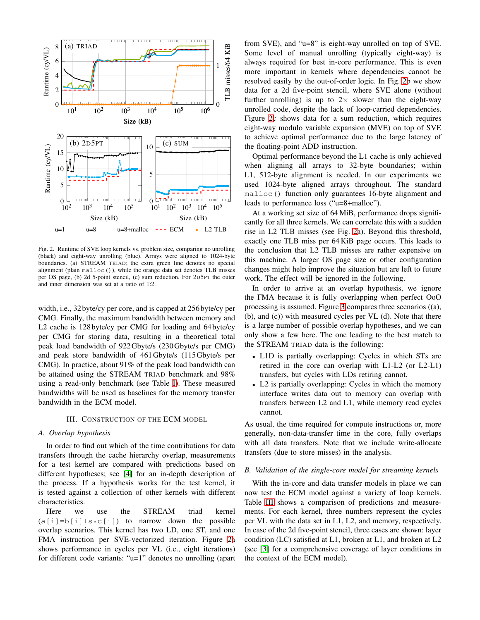

<span id="page-2-1"></span>Fig. 2. Runtime of SVE loop kernels vs. problem size, comparing no unrolling (black) and eight-way unrolling (blue). Arrays were aligned to 1024-byte boundaries. (a) STREAM TRIAD; the extra green line denotes no special alignment (plain malloc()), while the orange data set denotes TLB misses per OS page, (b) 2d 5-point stencil, (c) sum reduction. For 2D5PT the outer and inner dimension was set at a ratio of 1:2.

width, i.e., 32 byte/cy per core, and is capped at 256 byte/cy per CMG. Finally, the maximum bandwidth between memory and L2 cache is 128 byte/cy per CMG for loading and 64 byte/cy per CMG for storing data, resulting in a theoretical total peak load bandwidth of 922Gbyte/s (230Gbyte/s per CMG) and peak store bandwidth of 461Gbyte/s (115Gbyte/s per CMG). In practice, about 91% of the peak load bandwidth can be attained using the STREAM TRIAD benchmark and 98% using a read-only benchmark (see Table [I\)](#page-1-0). These measured bandwidths will be used as baselines for the memory transfer bandwidth in the ECM model.

#### III. CONSTRUCTION OF THE ECM MODEL

#### <span id="page-2-3"></span><span id="page-2-0"></span>*A. Overlap hypothesis*

In order to find out which of the time contributions for data transfers through the cache hierarchy overlap, measurements for a test kernel are compared with predictions based on different hypotheses; see [\[4\]](#page-5-2) for an in-depth description of the process. If a hypothesis works for the test kernel, it is tested against a collection of other kernels with different characteristics.

Here we use the STREAM triad kernel  $(a[i]=b[i]+s*c[i])$  to narrow down the possible overlap scenarios. This kernel has two LD, one ST, and one FMA instruction per SVE-vectorized iteration. Figure [2a](#page-2-1) shows performance in cycles per VL (i.e., eight iterations) for different code variants: "u=1" denotes no unrolling (apart from SVE), and "u=8" is eight-way unrolled on top of SVE. Some level of manual unrolling (typically eight-way) is always required for best in-core performance. This is even more important in kernels where dependencies cannot be resolved easily by the out-of-order logic. In Fig. [2b](#page-2-1) we show data for a 2d five-point stencil, where SVE alone (without further unrolling) is up to  $2 \times$  slower than the eight-way unrolled code, despite the lack of loop-carried dependencies. Figure [2c](#page-2-1) shows data for a sum reduction, which requires eight-way modulo variable expansion (MVE) on top of SVE to achieve optimal performance due to the large latency of the floating-point ADD instruction.

Optimal performance beyond the L1 cache is only achieved when aligning all arrays to 32-byte boundaries; within L1, 512-byte alignment is needed. In our experiments we used 1024-byte aligned arrays throughout. The standard malloc() function only guarantees 16-byte alignment and leads to performance loss ("u=8+malloc").

At a working set size of 64 MiB, performance drops significantly for all three kernels. We can correlate this with a sudden rise in L2 TLB misses (see Fig. [2a](#page-2-1)). Beyond this threshold, exactly one TLB miss per 64 KiB page occurs. This leads to the conclusion that L2 TLB misses are rather expensive on this machine. A larger OS page size or other configuration changes might help improve the situation but are left to future work. The effect will be ignored in the following.

In order to arrive at an overlap hypothesis, we ignore the FMA because it is fully overlapping when perfect OoO processing is assumed. Figure [3](#page-3-1) compares three scenarios ((a), (b), and (c)) with measured cycles per VL (d). Note that there is a large number of possible overlap hypotheses, and we can only show a few here. The one leading to the best match to the STREAM TRIAD data is the following:

- L1D is partially overlapping: Cycles in which STs are retired in the core can overlap with L1-L2 (or L2-L1) transfers, but cycles with LDs retiring cannot.
- L2 is partially overlapping: Cycles in which the memory interface writes data out to memory can overlap with transfers between L2 and L1, while memory read cycles cannot.

As usual, the time required for compute instructions or, more generally, non-data-transfer time in the core, fully overlaps with all data transfers. Note that we include write-allocate transfers (due to store misses) in the analysis.

#### <span id="page-2-2"></span>*B. Validation of the single-core model for streaming kernels*

With the in-core and data transfer models in place we can now test the ECM model against a variety of loop kernels. Table [III](#page-3-2) shows a comparison of predictions and measurements. For each kernel, three numbers represent the cycles per VL with the data set in L1, L2, and memory, respectively. In case of the 2d five-point stencil, three cases are shown: layer condition (LC) satisfied at L1, broken at L1, and broken at L2 (see [\[3\]](#page-5-12) for a comprehensive coverage of layer conditions in the context of the ECM model).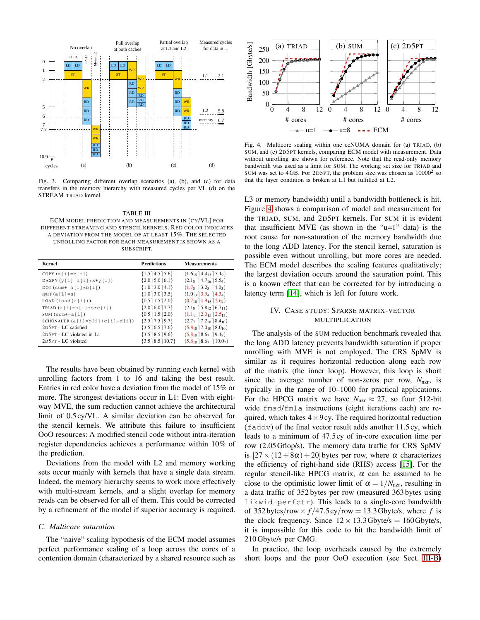

<span id="page-3-1"></span>Fig. 3. Comparing different overlap scenarios (a), (b), and (c) for data transfers in the memory hierarchy with measured cycles per VL (d) on the STREAM TRIAD kernel.

<span id="page-3-2"></span>TABLE III ECM MODEL PREDICTION AND MEASUREMENTS IN [CY/VL] FOR DIFFERENT STREAMING AND STENCIL KERNELS. RED COLOR INDICATES A DEVIATION FROM THE MODEL OF AT LEAST 15%. THE SELECTED UNROLLING FACTOR FOR EACH MEASUREMENT IS SHOWN AS A SUBSCRIPT.

| Kernel                            | <b>Predictions</b>         | <b>Measurements</b>                              |
|-----------------------------------|----------------------------|--------------------------------------------------|
| $COPY (a[i]=b[i])$                | ${1.5 \mid 4.5 \mid 5.6}$  | $(1.6_{15}$ 4.4 <sub>13</sub> 5.1 <sub>9</sub> ) |
| DAXPY $(y[i] = a[i] * x + y[i])$  | ${2.0$ ] 5.0] 6.1}         | $(2.1_8 \ 14.7_{16} \ 15.5_6)$                   |
| DOT $(sum+=a[i]*b[i])$            | ${1.0$ ] 3.0] 4.1}         | $(1.78$ 13.2 <sub>5</sub> 14.0 <sub>5</sub> )    |
| INIT $(a[i]=s)$                   | ${1.0$ ] 3.0] 3.5}         | $(1.0_{13}$ 3.9 <sub>4</sub> 14.3 <sub>4</sub> ) |
| LOAD (load(a[i]))                 | ${0.5 \mid 1.5 \mid 2.0}$  | $(0.7_{10}$ ] $1.9_{15}$ ] $2.6_{4})$            |
| TRIAD $(a[i]=b[i]+s*c[i])$        | ${2.0$ 6.0 7.7}            | $(2.18 \ 3.812 \ 6.711)$                         |
| SUM $(sum+=a[i])$                 | ${0.5 \mid 1.5 \mid 2.0}$  | $(1.111]$ 2.0 <sub>15</sub> 2.5 <sub>13</sub> )  |
| SCHÖNAUER $(a[i]=b[i]+c[i]+d[i])$ | ${2.5}$ 7.5   9.7 }        | $(2.7, 7.2_{10} 8.4_{10})$                       |
| 2D5PT - LC satisfied              | ${3.5 \mid 6.5 \mid 7.6}$  | $(5.8_{10}$ ] $7.0_{10}$ ] $8.0_{10}$ )          |
| 2D5PT - LC violated in L1         | ${3.5 \mid 8.5 \mid 9.6}$  | $(5.8_{10}$ 8.67   9.4 <sub>8</sub> )            |
| 2D5PT - LC violated               | ${3.5 \mid 8.5 \mid 10.7}$ | $(5.8_{10}$ 8.6 <sub>7</sub> 10.0 <sub>7</sub> ) |

The results have been obtained by running each kernel with unrolling factors from 1 to 16 and taking the best result. Entries in red color have a deviation from the model of 15% or more. The strongest deviations occur in L1: Even with eightway MVE, the sum reduction cannot achieve the architectural limit of 0.5 cy/VL. A similar deviation can be observed for the stencil kernels. We attribute this failure to insufficient OoO resources: A modified stencil code without intra-iteration register dependencies achieves a performance within 10% of the prediction.

Deviations from the model with L2 and memory working sets occur mainly with kernels that have a single data stream. Indeed, the memory hierarchy seems to work more effectively with multi-stream kernels, and a slight overlap for memory reads can be observed for all of them. This could be corrected by a refinement of the model if superior accuracy is required.

#### *C. Multicore saturation*

The "naive" scaling hypothesis of the ECM model assumes perfect performance scaling of a loop across the cores of a contention domain (characterized by a shared resource such as



<span id="page-3-3"></span>Fig. 4. Multicore scaling within one ccNUMA domain for (a) TRIAD, (b) SUM, and (c) 2D5PT kernels, comparing ECM model with measurement. Data without unrolling are shown for reference. Note that the read-only memory bandwidth was used as a limit for SUM. The working set size for TRIAD and SUM was set to  $4GB$ . For 2D5PT, the problem size was chosen as  $10000<sup>2</sup>$  so that the layer condition is broken at L1 but fulfilled at L2.

L3 or memory bandwidth) until a bandwidth bottleneck is hit. Figure [4](#page-3-3) shows a comparison of model and measurement for the TRIAD, SUM, and 2D5PT kernels. For SUM it is evident that insufficient MVE (as shown in the " $u=1$ " data) is the root cause for non-saturation of the memory bandwidth due to the long ADD latency. For the stencil kernel, saturation is possible even without unrolling, but more cores are needed. The ECM model describes the scaling features qualitatively; the largest deviation occurs around the saturation point. This is a known effect that can be corrected for by introducing a latency term [\[14\]](#page-5-13), which is left for future work.

# <span id="page-3-0"></span>IV. CASE STUDY: SPARSE MATRIX-VECTOR MULTIPLICATION

The analysis of the SUM reduction benchmark revealed that the long ADD latency prevents bandwidth saturation if proper unrolling with MVE is not employed. The CRS SpMV is similar as it requires horizontal reduction along each row of the matrix (the inner loop). However, this loop is short since the average number of non-zeros per row,  $N_{\text{nz}r}$ , is typically in the range of 10–1000 for practical applications. For the HPCG matrix we have  $N_{\text{nzr}} \approx 27$ , so four 512-bit wide fmad/fmla instructions (eight iterations each) are required, which takes  $4 \times 9$  cy. The required horizontal reduction (faddv) of the final vector result adds another 11.5 cy, which leads to a minimum of 47.5 cy of in-core execution time per row (2.05Gflop/s). The memory data traffic for CRS SpMV is  $[27 \times (12+8\alpha) +20]$  bytes per row, where  $\alpha$  characterizes the efficiency of right-hand side (RHS) access [\[15\]](#page-5-14). For the regular stencil-like HPCG matrix,  $\alpha$  can be assumed to be close to the optimistic lower limit of  $\alpha = 1/N_{\text{nz}r}$ , resulting in a data traffic of 352 bytes per row (measured 363 bytes using likwid-perfctr). This leads to a single-core bandwidth of 352 bytes/row  $\times f$ /47.5 cy/row = 13.3 Gbyte/s, where *f* is the clock frequency. Since  $12 \times 13.3$  Gbyte/s = 160 Gbyte/s, it is impossible for this code to hit the bandwidth limit of 210 Gbyte/s per CMG.

In practice, the loop overheads caused by the extremely short loops and the poor OoO execution (see Sect. [III-B\)](#page-2-2)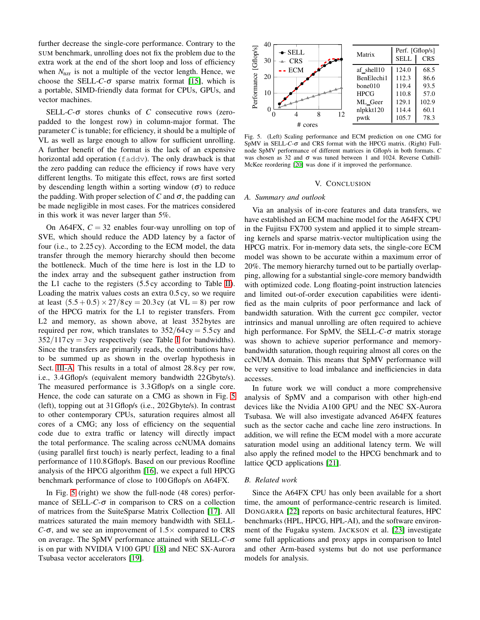further decrease the single-core performance. Contrary to the SUM benchmark, unrolling does not fix the problem due to the extra work at the end of the short loop and loss of efficiency when  $N_{\text{nzr}}$  is not a multiple of the vector length. Hence, we choose the SELL- $C$ - $\sigma$  sparse matrix format [\[15\]](#page-5-14), which is a portable, SIMD-friendly data format for CPUs, GPUs, and vector machines.

SELL-*C*-<sup>σ</sup> stores chunks of *C* consecutive rows (zeropadded to the longest row) in column-major format. The parameter *C* is tunable; for efficiency, it should be a multiple of VL as well as large enough to allow for sufficient unrolling. A further benefit of the format is the lack of an expensive horizontal add operation (faddv). The only drawback is that the zero padding can reduce the efficiency if rows have very different lengths. To mitigate this effect, rows are first sorted by descending length within a sorting window  $(\sigma)$  to reduce the padding. With proper selection of  $C$  and  $\sigma$ , the padding can be made negligible in most cases. For the matrices considered in this work it was never larger than 5%.

On A64FX,  $C = 32$  enables four-way unrolling on top of SVE, which should reduce the ADD latency by a factor of four (i.e., to 2.25 cy). According to the ECM model, the data transfer through the memory hierarchy should then become the bottleneck. Much of the time here is lost in the LD to the index array and the subsequent gather instruction from the L1 cache to the registers (5.5 cy according to Table [II\)](#page-1-2). Loading the matrix values costs an extra 0.5 cy, so we require at least  $(5.5 + 0.5) \times 27/8$  cy = 20.3 cy (at VL = 8) per row of the HPCG matrix for the L1 to register transfers. From L2 and memory, as shown above, at least 352 bytes are required per row, which translates to  $352/64 cy = 5.5 cy$  and  $352/117$  cy = 3 cy respectively (see Table [I](#page-1-0) for bandwidths). Since the transfers are primarily reads, the contributions have to be summed up as shown in the overlap hypothesis in Sect. [III-A.](#page-2-3) This results in a total of almost 28.8 cy per row, i.e., 3.4Gflop/s (equivalent memory bandwidth 22Gbyte/s). The measured performance is 3.3Gflop/s on a single core. Hence, the code can saturate on a CMG as shown in Fig. [5](#page-4-1) (left), topping out at 31Gflop/s (i.e., 202Gbyte/s). In contrast to other contemporary CPUs, saturation requires almost all cores of a CMG; any loss of efficiency on the sequential code due to extra traffic or latency will directly impact the total performance. The scaling across ccNUMA domains (using parallel first touch) is nearly perfect, leading to a final performance of 110.8Gflop/s. Based on our previous Roofline analysis of the HPCG algorithm [\[16\]](#page-5-15), we expect a full HPCG benchmark performance of close to 100 Gflop/s on A64FX.

In Fig. [5](#page-4-1) (right) we show the full-node (48 cores) performance of SELL- $C$ - $\sigma$  in comparison to CRS on a collection of matrices from the SuiteSparse Matrix Collection [\[17\]](#page-5-16). All matrices saturated the main memory bandwidth with SELL-*C*-σ, and we see an improvement of  $1.5 \times$  compared to CRS on average. The SpMV performance attained with SELL-*C*-<sup>σ</sup> is on par with NVIDIA V100 GPU [\[18\]](#page-5-17) and NEC SX-Aurora Tsubasa vector accelerators [\[19\]](#page-5-18).



<span id="page-4-1"></span>Fig. 5. (Left) Scaling performance and ECM prediction on one CMG for SpMV in SELL-*C*-<sup>σ</sup> and CRS format with the HPCG matrix. (Right) Fullnode SpMV performance of different matrices in Gflop/s in both formats. *C* was chosen as 32 and  $\sigma$  was tuned between 1 and 1024. Reverse Cuthill-McKee reordering [\[20\]](#page-5-19) was done if it improved the performance.

#### V. CONCLUSION

#### <span id="page-4-0"></span>*A. Summary and outlook*

Via an analysis of in-core features and data transfers, we have established an ECM machine model for the A64FX CPU in the Fujitsu FX700 system and applied it to simple streaming kernels and sparse matrix-vector multiplication using the HPCG matrix. For in-memory data sets, the single-core ECM model was shown to be accurate within a maximum error of 20%. The memory hierarchy turned out to be partially overlapping, allowing for a substantial single-core memory bandwidth with optimized code. Long floating-point instruction latencies and limited out-of-order execution capabilities were identified as the main culprits of poor performance and lack of bandwidth saturation. With the current gcc compiler, vector intrinsics and manual unrolling are often required to achieve high performance. For SpMV, the SELL-*C*-<sup>σ</sup> matrix storage was shown to achieve superior performance and memorybandwidth saturation, though requiring almost all cores on the ccNUMA domain. This means that SpMV performance will be very sensitive to load imbalance and inefficiencies in data accesses.

In future work we will conduct a more comprehensive analysis of SpMV and a comparison with other high-end devices like the Nvidia A100 GPU and the NEC SX-Aurora Tsubasa. We will also investigate advanced A64FX features such as the sector cache and cache line zero instructions. In addition, we will refine the ECM model with a more accurate saturation model using an additional latency term. We will also apply the refined model to the HPCG benchmark and to lattice QCD applications [\[21\]](#page-5-20).

#### *B. Related work*

Since the A64FX CPU has only been available for a short time, the amount of performance-centric research is limited. DONGARRA [\[22\]](#page-5-21) reports on basic architectural features, HPC benchmarks (HPL, HPCG, HPL-AI), and the software environment of the Fugaku system. JACKSON et al. [\[23\]](#page-5-22) investigate some full applications and proxy apps in comparison to Intel and other Arm-based systems but do not use performance models for analysis.